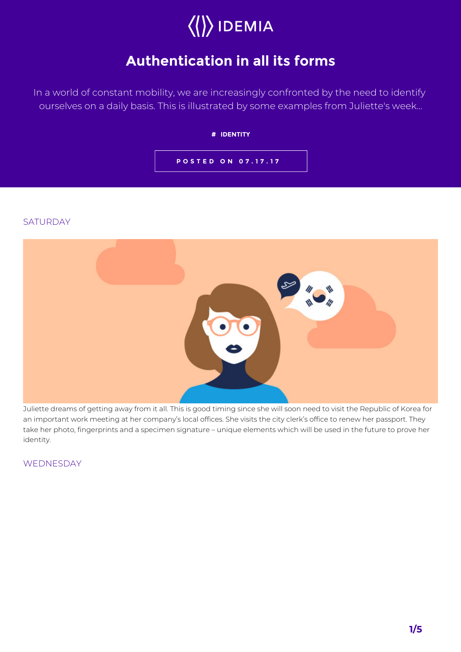# $\langle\langle\rangle\rangle$  IDEMIA

## **Authentication in all its forms**

In a world of constant mobility, we are increasingly confronted by the need to identify ourselves on a daily basis. This is illustrated by some examples from Juliette's week...

#### **# IDENTITY**

**POSTED ON 07.17.17**

#### **SATURDAY**



Juliette dreams of getting away from it all. This is good timing since she will soon need to visit the Republic of Korea for an important work meeting at her company's local offices. She visits the city clerk's office to renew her passport. They take her photo, fingerprints and a specimen signature – unique elements which will be used in the future to prove her identity.

**WEDNESDAY**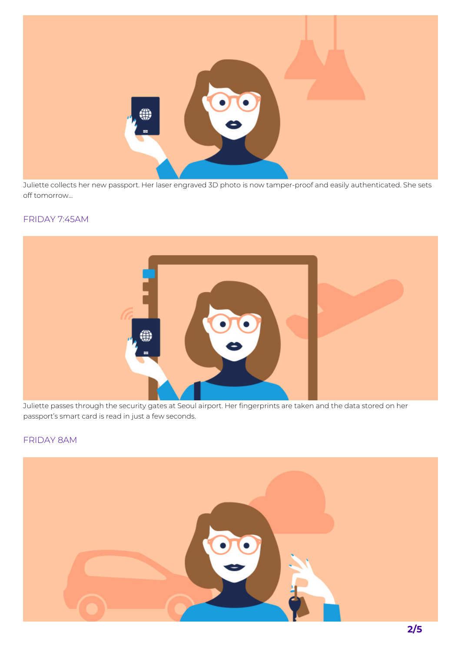

Juliette collects her new passport. Her laser engraved 3D photo is now tamper-proof and easily authenticated. She sets off tomorrow…

#### FRIDAY 7:45AM



Juliette passes through the security gates at Seoul airport. Her fingerprints are taken and the data stored on her passport's smart card is read in just a few seconds.

### FRIDAY 8AM

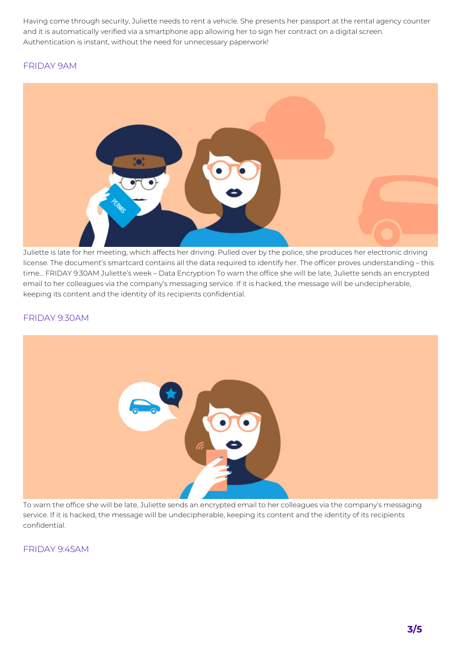Having come through security, Juliette needs to rent a vehicle. She presents her passport at the rental agency counter and it is automatically verified via a smartphone app allowing her to sign her contract on a digital screen. Authentication is instant, without the need for unnecessary paperwork!

#### FRIDAY 9AM



Juliette is late for her meeting, which affects her driving. Pulled over by the police, she produces her electronic driving license. The document's smartcard contains all the data required to identify her. The officer proves understanding – this time… FRIDAY 9:30AM Juliette's week – Data Encryption To warn the office she will be late, Juliette sends an encrypted email to her colleagues via the company's messaging service. If it is hacked, the message will be undecipherable, keeping its content and the identity of its recipients confidential.

#### FRIDAY 9:30AM



To warn the office she will be late, Juliette sends an encrypted email to her colleagues via the company's messaging service. If it is hacked, the message will be undecipherable, keeping its content and the identity of its recipients confidential.

FRIDAY 9:45AM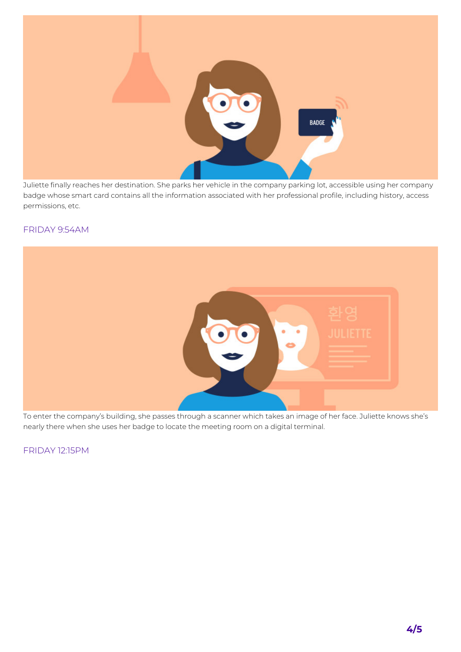

Juliette finally reaches her destination. She parks her vehicle in the company parking lot, accessible using her company badge whose smart card contains all the information associated with her professional profile, including history, access permissions, etc.

#### FRIDAY 9:54AM



To enter the company's building, she passes through a scanner which takes an image of her face. Juliette knows she's nearly there when she uses her badge to locate the meeting room on a digital terminal.

FRIDAY 12:15PM